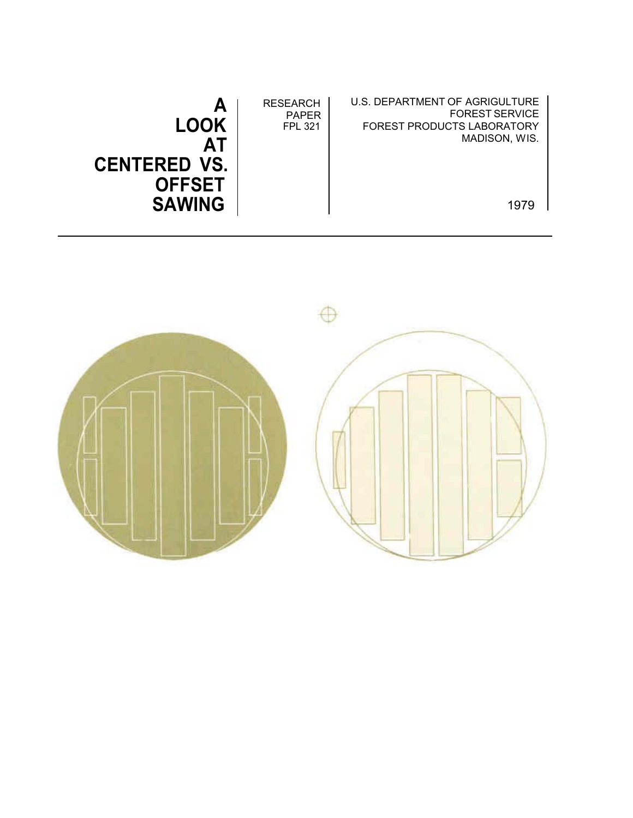| А<br><b>LOOK</b><br>ΑT<br><b>CENTERED VS.</b><br><b>OFFSET</b> | <b>RESEARCH</b><br><b>PAPER</b><br><b>FPL 321</b> | U.S. DEPARTMENT OF AGRIGULTURE<br><b>FOREST SERVICE</b><br><b>FOREST PRODUCTS LABORATORY</b><br>MADISON, WIS. |
|----------------------------------------------------------------|---------------------------------------------------|---------------------------------------------------------------------------------------------------------------|
| <b>SAWING</b>                                                  |                                                   | 1979                                                                                                          |

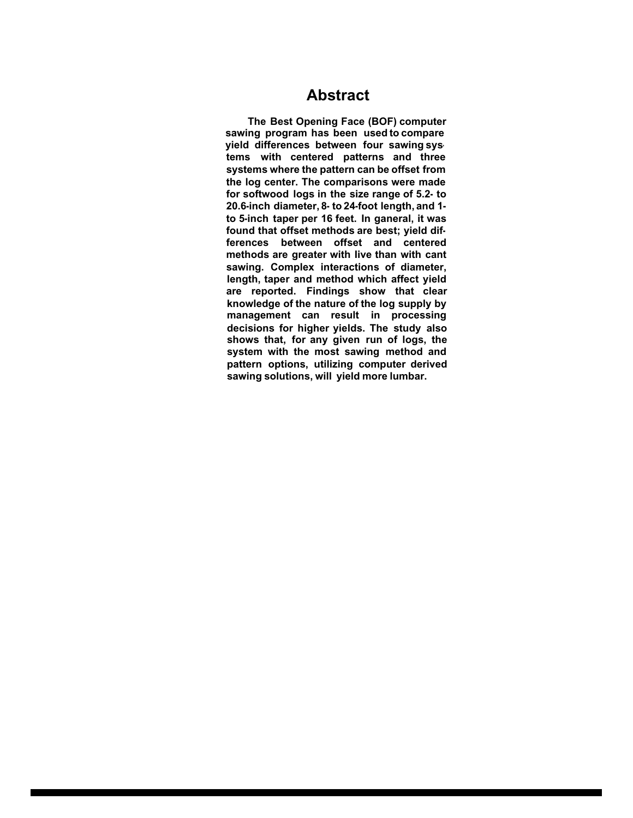### **Abstract**

**The Best Opening Face (BOF) computer sawing program has been used to compare yield differences between four sawing systems with centered patterns and three systems where the pattern can be offset from the log center. The comparisons were made for softwood logs in the size range of 5.2- to 20.6-inch diameter, 8- to 24-foot length, and 1 to 5-inch taper per 16 feet. In ganeral, it was found that offset methods are best; yield differences between offset and centered methods are greater with Iive than with cant sawing. Complex interactions of diameter, length, taper and method which affect yield are reported. Findings show that clear knowledge of the nature of the log supply by management can result in processing decisions for higher yields. The study also shows that, for any given run of logs, the system with the most sawing method and pattern options, utilizing computer derived sawing solutions, will yield more lumbar.**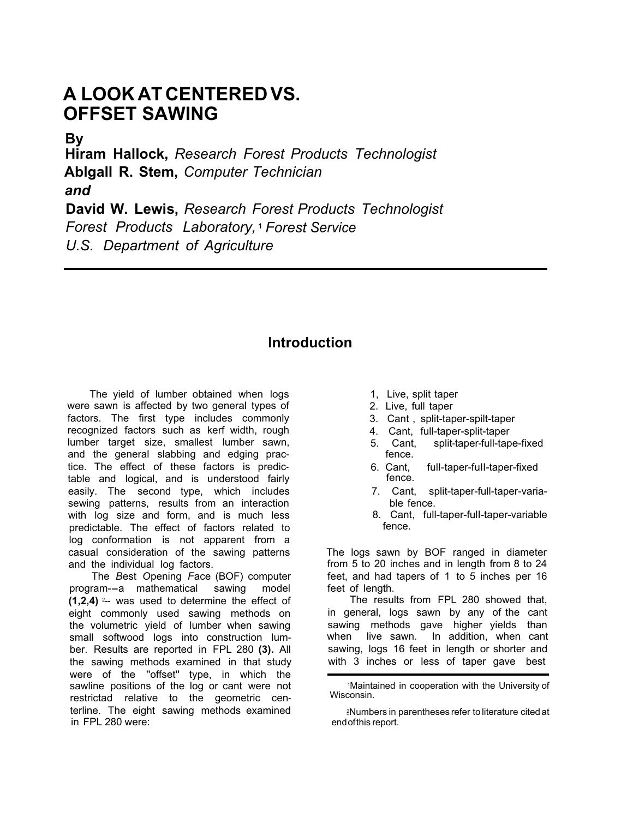# **A LOOK AT CENTERED VS. OFFSET SAWING**

**By**

**Hiram Hallock,** *Research Forest Products Technologist* **Ablgall R. Stem,** *Computer Technician and* **David W. Lewis,** *Research Forest Products Technologist*

*Forest Products Laboratory,* **<sup>1</sup>** *Forest Service*

*U.S. Department of Agriculture*

## **lntroduction**

The yield of lumber obtained when logs were sawn is affected by two general types of factors. The first type includes commonly recognized factors such as kerf width, rough lumber target size, smallest lumber sawn, and the general slabbing and edging practice. The effect of these factors is predictable and logical, and is understood fairly easily. The second type, which includes sewing patterns, results from an interaction with log size and form, and is much less predictable. The effect of factors related to log conformation is not apparent from a casual consideration of the sawing patterns and the individual log factors.

The *B*est *O*pening *F*ace (BOF) computer program--a mathematical sawing model **(1,2,4)** 2-- was used to determine the effect of eight commonly used sawing methods on the volumetric yield of lumber when sawing small softwood logs into construction lumber. Results are reported in FPL 280 **(3).** All the sawing methods examined in that study were of the ''offset" type, in which the sawline positions of the log or cant were not restrictad relative to the geometric centerline. The eight sawing methods examined in FPL 280 were:

- 1, Live, split taper
- 2. Live, full taper
- 3. Cant , split-taper-spilt-taper
- 4. Cant, full-taper-split-taper
- 5. Cant, split-taper-full-tape-fixed fence.
- 6. Cant, fulI-taper-fuII-taper-fixed fence.
- 7. Cant, split-taper-full-taper-variable fence.
- 8. Cant, full-taper-fulI-taper-variable fence.

The logs sawn by BOF ranged in diameter from 5 to 20 inches and in length from 8 to 24 feet, and had tapers of 1 to 5 inches per 16 feet of length.

The results from FPL 280 showed that, in general, logs sawn by any of the cant sawing methods gave higher yields than when live sawn. In addition, when cant sawing, logs 16 feet in length or shorter and with 3 inches or less of taper gave best

<sup>1</sup>Maintained in cooperation with the University of Wisconsin.

<sup>-</sup> 2Numbers in parentheses refer to literature cited at endofthis report.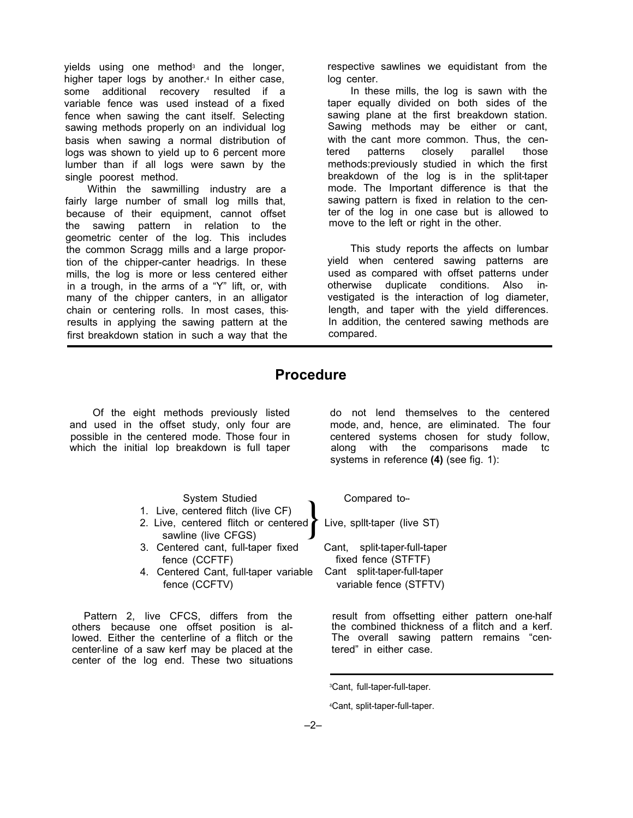yields using one method<sup>3</sup> and the longer, higher taper logs by another.<sup>4</sup> In either case, some additional recovery resulted if a variable fence was used instead of a fixed fence when sawing the cant itself. Selecting sawing methods properly on an individual log basis when sawing a normal distribution of logs was shown to yield up to 6 percent more lumber than if all logs were sawn by the single poorest method.

Within the sawmilling industry are a fairly large number of small log mills that, because of their equipment, cannot offset the sawing pattern in relation to the geometric center of the log. This includes the common Scragg mills and a large proportion of the chipper-canter headrigs. In these mills, the log is more or less centered either in a trough, in the arms of a "Y" lift, or, with many of the chipper canters, in an alligator chain or centering rolls. In most cases, thisresults in applying the sawing pattern at the first breakdown station in such a way that the

respective sawlines we equidistant from the log center.

In these mills, the log is sawn with the taper equally divided on both sides of the sawing plane at the first breakdown station. Sawing methods may be either or cant, with the cant more common. Thus, the centered patterns closely parallel those methods:previousIy studied in which the first breakdown of the log is in the split-taper mode. The Important difference is that the sawing pattern is fixed in relation to the center of the log in one case but is allowed to move to the left or right in the other.

This study reports the affects on lumbar yield when centered sawing patterns are used as compared with offset patterns under otherwise duplicate conditions. Also investigated is the interaction of log diameter, length, and taper with the yield differences. In addition, the centered sawing methods are compared.

### **Procedure**

Of the eight methods previously listed and used in the offset study, only four are possible in the centered mode. Those four in which the initial lop breakdown is full taper

System Studied

- 1. Live, centered flitch (live CF)
- 2. Live, centered flitch or centered<br>sawline (live CFGS)
- 3. Centered cant, full-taper fixed fence (CCFTF)
- 4. Centered Cant, full-taper variable fence (CCFTV)

Pattern 2, live CFCS, differs from the others because one offset position is allowed. Either the centerline of a flitch or the center-line of a saw kerf may be placed at the center of the log end. These two situations do not lend themselves to the centered mode, and, hence, are eliminated. The four centered systems chosen for study follow, along with the comparisons made tc systems in reference **(4)** (see fig. 1):

Compared to--

Live, spllt-taper (live ST)

Cant, split-taper-full-taper fixed fence (STFTF) Cant split-taper-full-taper variable fence (STFTV)

result from offsetting either pattern one-half the combined thickness of a flitch and a kerf. The overall sawing pattern remains "centered" in either case.

<sup>3</sup>Cant, full-taper-full-taper.

<sup>4</sup>Cant, split-taper-full-taper.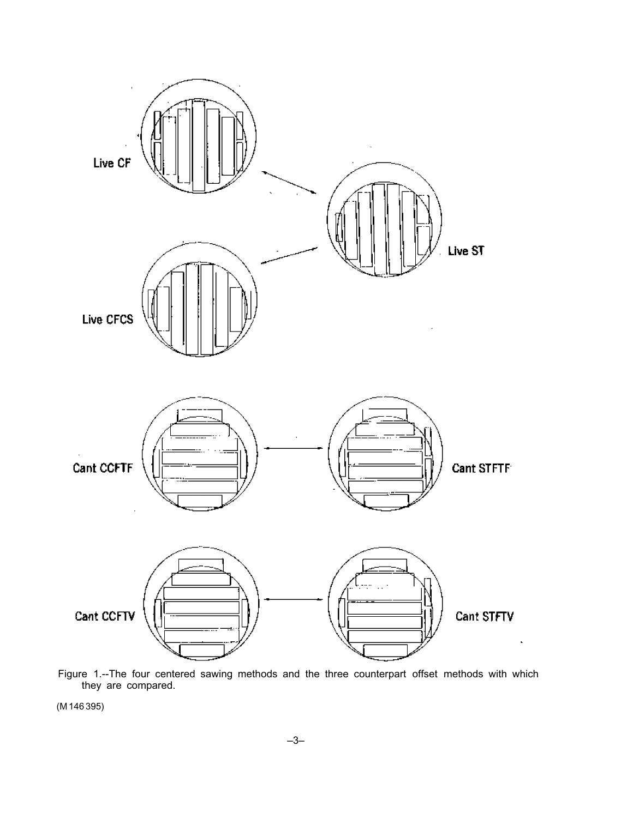

Figure 1.--The four centered sawing methods and the three counterpart offset methods with which they are compared.

 $(M 146 395)$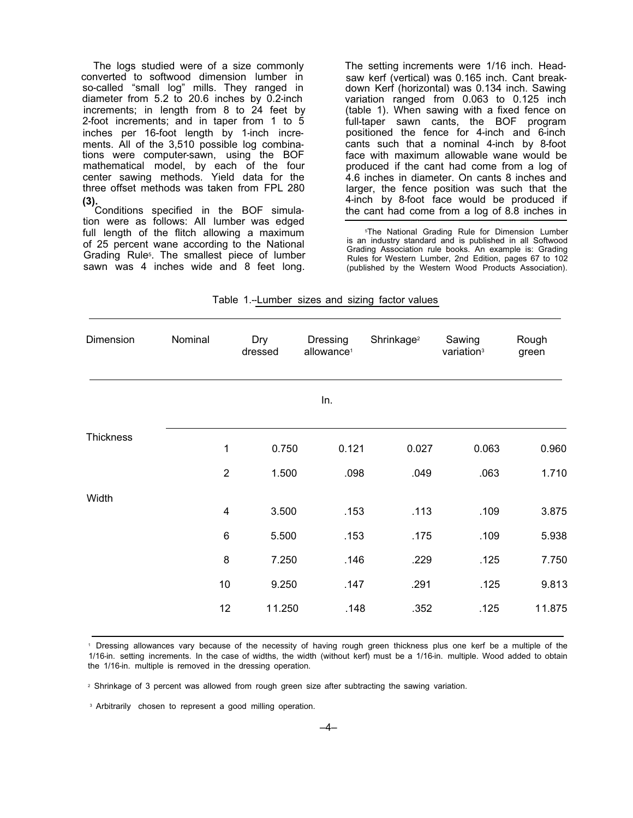The logs studied were of a size commonly converted to softwood dimension lumber in so-called "small log" mills. They ranged in diameter from 5.2 to 20.6 inches by 0.2-inch increments; in length from 8 to 24 feet by 2-foot increments; and in taper from 1 to 5 inches per 16-foot length by 1-inch increments. All of the 3,510 possible log combinations were computer-sawn, using the BOF mathematical model, by each of the four center sawing methods. Yield data for the three offset methods was taken from FPL 280

**(3).**Conditions specified in the BOF simulation were as follows: All lumber was edged full length of the flitch allowing a maximum of 25 percent wane according to the National Grading Rule5. The smallest piece of lumber sawn was 4 inches wide and 8 feet long.

The setting increments were 1/16 inch. Headsaw kerf (vertical) was 0.165 inch. Cant breakdown Kerf (horizontal) was 0.134 inch. Sawing variation ranged from 0.063 to 0.125 inch (table 1). When sawing with a fixed fence on full-taper sawn cants, the BOF program positioned the fence for 4-inch and 6-inch cants such that a nominal 4-inch by 8-foot face with maximum allowable wane would be produced if the cant had come from a log of 4.6 inches in diameter. On cants 8 inches and larger, the fence position was such that the 4-inch by 8-foot face would be produced if the cant had come from a log of 8.8 inches in

5The National Grading Rule for Dimension Lumber is an industry standard and is published in all Softwood Grading Association rule books. An example is: Grading Rules for Western Lumber, 2nd Edition, pages 67 to 102 (published by the Western Wood Products Association).

| Dimension        | Nominal | Dry<br>dressed          | Dressing<br>allowance <sup>1</sup> | Shrinkage <sup>2</sup> | Sawing<br>variation <sup>3</sup> | Rough<br>green |
|------------------|---------|-------------------------|------------------------------------|------------------------|----------------------------------|----------------|
|                  |         |                         | In.                                |                        |                                  |                |
| <b>Thickness</b> |         | 0.750<br>1              | 0.121                              | 0.027                  | 0.063                            | 0.960          |
|                  |         | $\overline{2}$<br>1.500 | .098                               | .049                   | .063                             | 1.710          |
| Width            |         | 3.500<br>$\overline{4}$ | .153                               | .113                   | .109                             | 3.875          |
|                  |         | $\,6\,$<br>5.500        | .153                               | .175                   | .109                             | 5.938          |
|                  |         | 8<br>7.250              | .146                               | .229                   | .125                             | 7.750          |
|                  | 10      | 9.250                   | .147                               | .291                   | .125                             | 9.813          |
|                  | 12      | 11.250                  | .148                               | .352                   | .125                             | 11.875         |

Table 1.--Lumber sizes and sizing factor values

<sup>1</sup> Dressing allowances vary because of the necessity of having rough green thickness plus one kerf be a multiple of the 1/16-in. setting increments. In the case of widths, the width (without kerf) must be a 1/16-in. multiple. Wood added to obtain the 1/16-in. multiple is removed in the dressing operation.

<sup>2</sup> Shrinkage of 3 percent was allowed from rough green size after subtracting the sawing variation.

<sup>3</sup> Arbitrarily chosen to represent a good milling operation.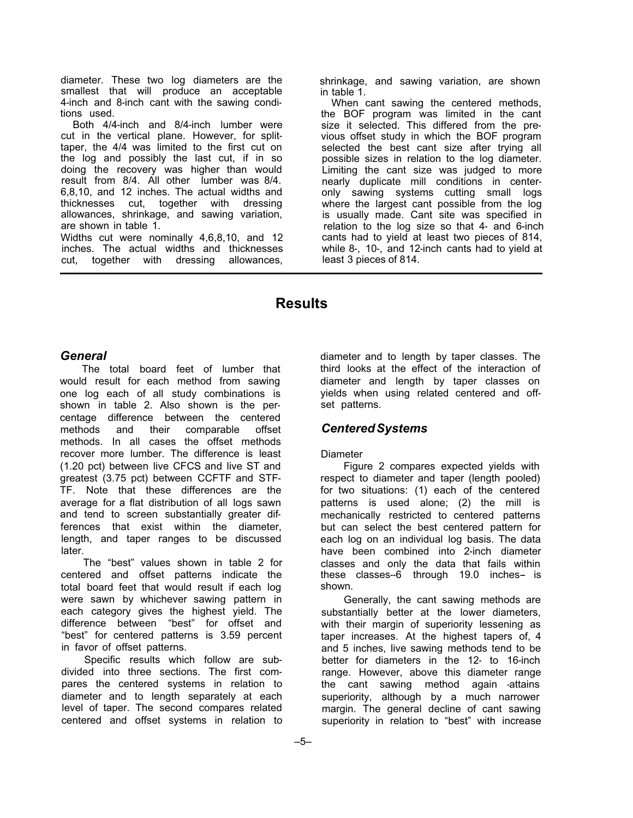diameter. These two log diameters are the smallest that will produce an acceptable 4-inch and 8-inch cant with the sawing conditions used.

Both 4/4-inch and 8/4-inch lumber were cut in the vertical plane. However, for splittaper, the 4/4 was limited to the first cut on the log and possibly the last cut, if in so doing the recovery was higher than would result from 8/4. All other lumber was 8/4. 6,8,10, and 12 inches. The actual widths and thicknesses cut, together with dressing allowances, shrinkage, and sawing variation, are shown in table 1.

Widths cut were nominally 4,6,8,10, and 12 inches. The actual widths and thicknesses cut, together with dressing allowances,

shrinkage, and sawing variation, are shown in table 1.

When cant sawing the centered methods, the BOF program was limited in the cant size it selected. This differed from the previous offset study in which the BOF program selected the best cant size after trying all possible sizes in relation to the log diameter. Limiting the cant size was judged to more nearly duplicate mill conditions in centeronly sawing systems cutting small logs where the largest cant possible from the log is usually made. Cant site was specified in relation to the log size so that 4- and 6-inch cants had to yield at least two pieces of 814, while 8-, 10-, and 12-inch cants had to yield at least 3 pieces of 814.

## **Results**

#### *General*

The total board feet of lumber that would result for each method from sawing one log each of all study combinations is shown in table 2. Also shown is the percentage difference between the centered methods and their comparable offset methods. In all cases the offset methods recover more lumber. The difference is least (1.20 pct) between live CFCS and live ST and greatest (3.75 pct) between CCFTF and STF-TF. Note that these differences are the average for a flat distribution of all logs sawn and tend to screen substantially greater differences that exist within the diameter, length, and taper ranges to be discussed later.

The "best" values shown in table 2 for centered and offset patterns indicate the total board feet that would result if each log were sawn by whichever sawing pattern in each category gives the highest yield. The difference between "best" for offset and "best" for centered patterns is 3.59 percent in favor of offset patterns.

Specific results which follow are subdivided into three sections. The first compares the centered systems in relation to diameter and to length separately at each level of taper. The second compares related centered and offset systems in relation to

diameter and to length by taper classes. The third looks at the effect of the interaction of diameter and length by taper classes on yields when using related centered and offset patterns.

### *CenteredSystems*

#### Diameter

Figure 2 compares expected yields with respect to diameter and taper (length pooled) for two situations: (1) each of the centered patterns is used alone; (2) the mill is mechanically restricted to centered patterns but can select the best centered pattern for each log on an individual log basis. The data have been combined into 2-inch diameter classes and only the data that fails within these classes--6 through 19.0 inches- is shown.

Generally, the cant sawing methods are substantially better at the lower diameters, with their margin of superiority lessening as taper increases. At the highest tapers of, 4 and 5 inches, live sawing methods tend to be better for diameters in the 12- to 16-inch range. However, above this diameter range the cant sawing method again -attains superiority, although by a much narrower margin. The general decline of cant sawing superiority in relation to "best" with increase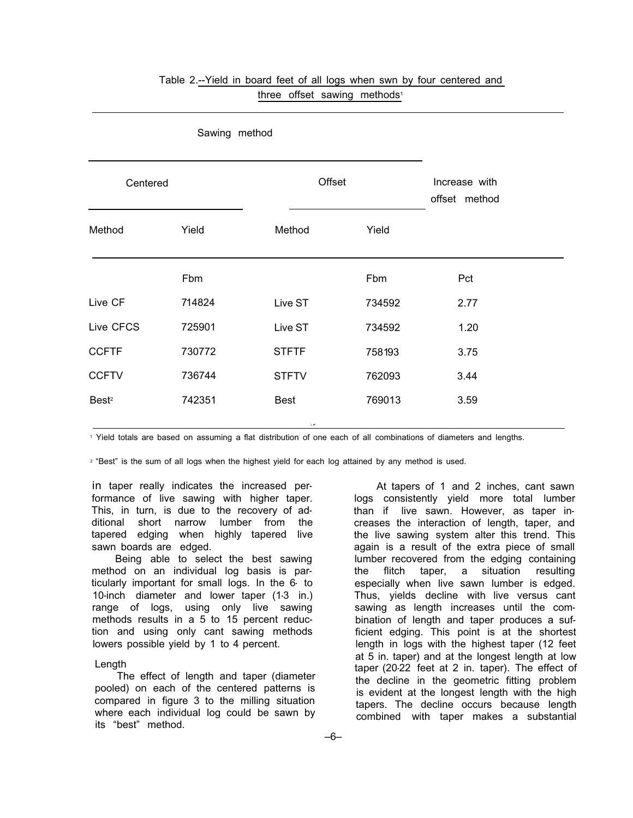| Centered          |        | Offset       | Increase with<br>offset method |      |
|-------------------|--------|--------------|--------------------------------|------|
| Method            | Yield  | Method       | Yield                          |      |
|                   | Fbm    |              | Fbm                            | Pct  |
| Live CF           | 714824 | Live ST      | 734592                         | 2.77 |
| Live CFCS         | 725901 | Live ST      | 734592                         | 1.20 |
| <b>CCFTF</b>      | 730772 | <b>STFTF</b> | 758193                         | 3.75 |
| <b>CCFTV</b>      | 736744 | <b>STFTV</b> | 762093                         | 3.44 |
| Best <sup>2</sup> | 742351 | <b>Best</b>  | 769013                         | 3.59 |

### Table 2.--Yield in board feet of all logs when swn by four centered and three offset sawing methods<sup>1</sup>

Sawing method

<sup>1</sup> Yield totals are based on assuming a flat distribution of one each of all combinations of diameters and lengths.

<sup>2</sup> "Best" is the sum of all logs when the highest yield for each log attained by any method is used.

in taper really indicates the increased performance of live sawing with higher taper. This, in turn, is due to the recovery of additional short narrow lumber from the tapered edging when highly tapered live sawn boards are edged.

Being able to select the best sawing method on an individual log basis is particularly important for small logs. In the 6- to 10-inch diameter and lower taper (1-3 in.) range of logs, using only live sawing methods results in a 5 to 15 percent reduction and using only cant sawing methods lowers possible yield by 1 to 4 percent.

#### Length

The effect of length and taper (diameter pooled) on each of the centered patterns is compared in figure 3 to the milling situation where each individual log could be sawn by its "best" method.

At tapers of 1 and 2 inches, cant sawn logs consistently yield more total lumber than if live sawn. However, as taper increases the interaction of length, taper, and the live sawing system alter this trend. This again is a result of the extra piece of small lumber recovered from the edging containing the flitch taper, a situation resulting especially when live sawn lumber is edged. Thus, yields decline with live versus cant sawing as length increases until the combination of length and taper produces a sufficient edging. This point is at the shortest length in logs with the highest taper (12 feet at 5 in. taper) and at the longest length at low taper (20-22 feet at 2 in. taper). The effect of the decline in the geometric fitting problem is evident at the longest length with the high tapers. The decline occurs because length combined with taper makes a substantial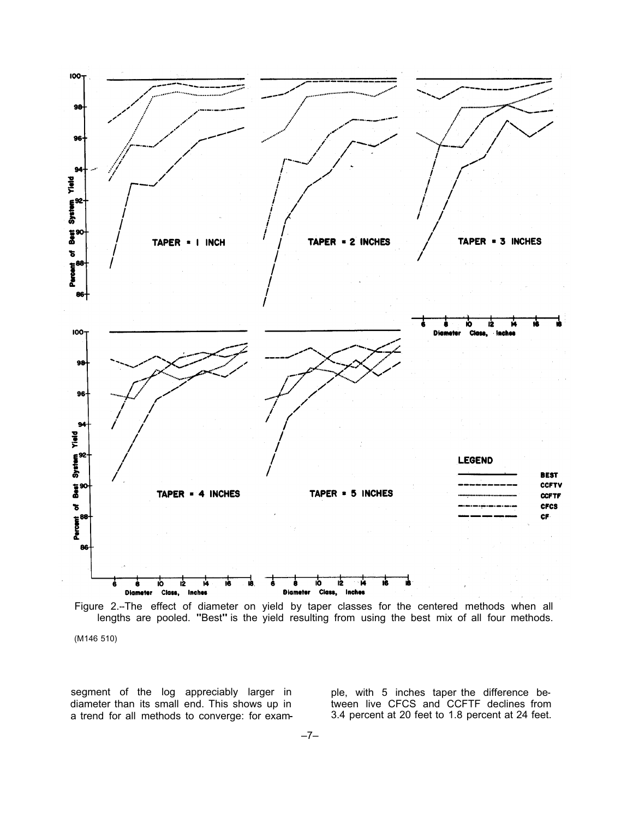

Figure 2.--The effect of diameter on yield by taper classes for the centered methods when all lengths are pooled. "Best" is the yield resulting from using the best mix of all four methods. (M146 510)

- a trend for all methods to converge: for exam- 3.4 percent at 20 feet to 1.8 percent at 24 feet. segment of the log appreciably larger in diameter than its small end. This shows up in

ple, with 5 inches taper the difference be-<br>tween live CFCS and CCFTF declines from<br>3.4 percent at 20 feet to 1.8 percent at 24 feet.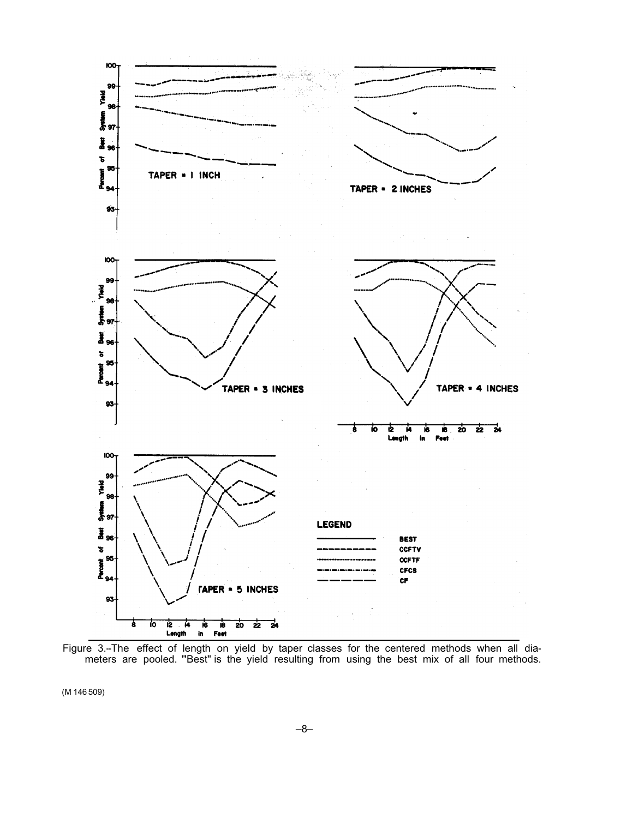

Figure 3.--The effect of length on yield by taper classes for the centered methods when all dia-meters are pooled. "Best" is the yield resulting from using the best mix of all four methods.

(M 146 509)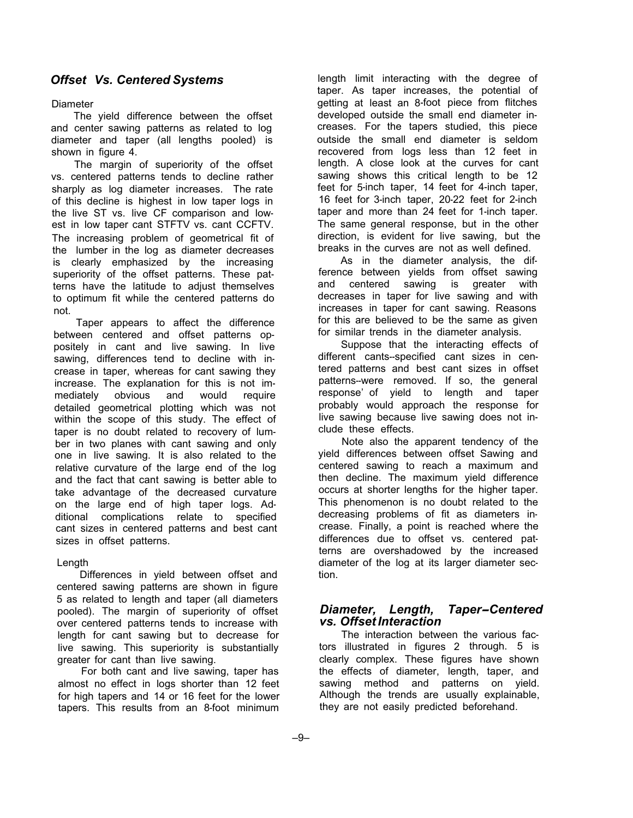### *Offset Vs. Centered Systems*

#### Diameter

The yield difference between the offset and center sawing patterns as related to log diameter and taper (all lengths pooled) is shown in figure 4.

The margin of superiority of the offset vs. centered patterns tends to decline rather sharply as log diameter increases. The rate of this decline is highest in low taper logs in the live ST vs. live CF comparison and lowest in low taper cant STFTV vs. cant CCFTV. The increasing problem of geometrical fit of the lumber in the log as diameter decreases is clearly emphasized by the increasing superiority of the offset patterns. These patterns have the latitude to adjust themselves to optimum fit while the centered patterns do not.

Taper appears to affect the difference between centered and offset patterns oppositely in cant and live sawing. In live sawing, differences tend to decline with increase in taper, whereas for cant sawing they increase. The explanation for this is not immediately obvious and would require detailed geometrical plotting which was not within the scope of this study. The effect of taper is no doubt related to recovery of lumber in two planes with cant sawing and only one in live sawing. It is also related to the relative curvature of the large end of the log and the fact that cant sawing is better able to take advantage of the decreased curvature on the large end of high taper logs. Additional complications relate to specified cant sizes in centered patterns and best cant sizes in offset patterns.

#### Length

Differences in yield between offset and centered sawing patterns are shown in figure 5 as related to length and taper (all diameters pooled). The margin of superiority of offset over centered patterns tends to increase with length for cant sawing but to decrease for live sawing. This superiority is substantially greater for cant than live sawing.

For both cant and live sawing, taper has almost no effect in logs shorter than 12 feet for high tapers and 14 or 16 feet for the lower tapers. This results from an 8-foot minimum

length limit interacting with the degree of taper. As taper increases, the potential of getting at least an 8-foot piece from flitches developed outside the small end diameter increases. For the tapers studied, this piece outside the small end diameter is seldom recovered from logs less than 12 feet in length. A close look at the curves for cant sawing shows this critical length to be 12 feet for 5-inch taper, 14 feet for 4-inch taper, 16 feet for 3-inch taper, 20-22 feet for 2-inch taper and more than 24 feet for 1-inch taper. The same general response, but in the other direction, is evident for live sawing, but the breaks in the curves are not as well defined.

As in the diameter analysis, the difference between yields from offset sawing and centered sawing is greater with decreases in taper for live sawing and with increases in taper for cant sawing. Reasons for this are believed to be the same as given for similar trends in the diameter analysis.

Suppose that the interacting effects of different cants--specified cant sizes in centered patterns and best cant sizes in offset patterns--were removed. If so, the general response' of yield to length and taper probably would approach the response for live sawing because live sawing does not include these effects.

Note also the apparent tendency of the yield differences between offset Sawing and centered sawing to reach a maximum and then decline. The maximum yield difference occurs at shorter lengths for the higher taper. This phenomenon is no doubt related to the decreasing problems of fit as diameters increase. Finally, a point is reached where the differences due to offset vs. centered patterns are overshadowed by the increased diameter of the log at its larger diameter section.

#### *Diameter, Length, Taper-Centered vs. Offset Interaction*

The interaction between the various factors illustrated in figures 2 through. 5 is clearly complex. These figures have shown the effects of diameter, length, taper, and sawing method and patterns on yield. Although the trends are usually explainable, they are not easily predicted beforehand.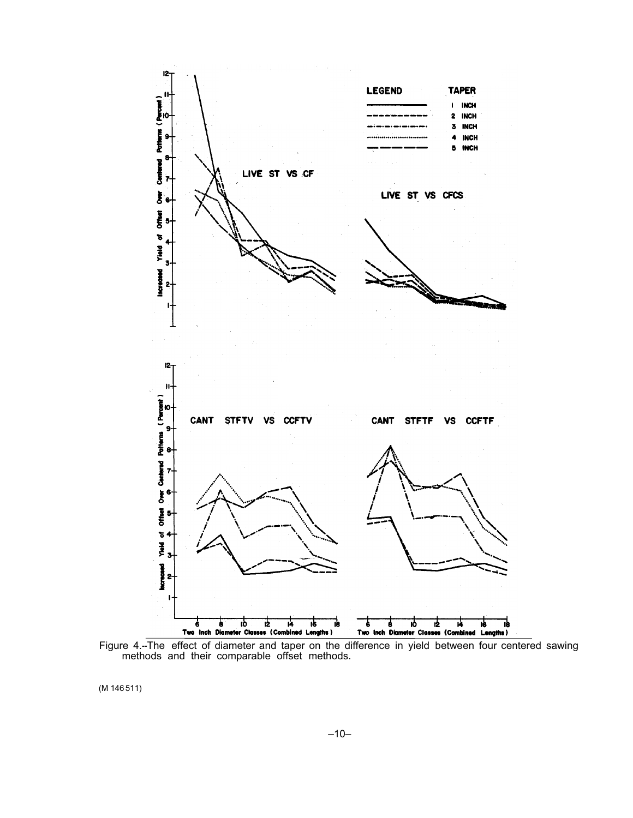

Figure 4.--The effect of diameter and taper on the difference in yield between four centered sawing methods and their comparable offset methods.

(M 146 511)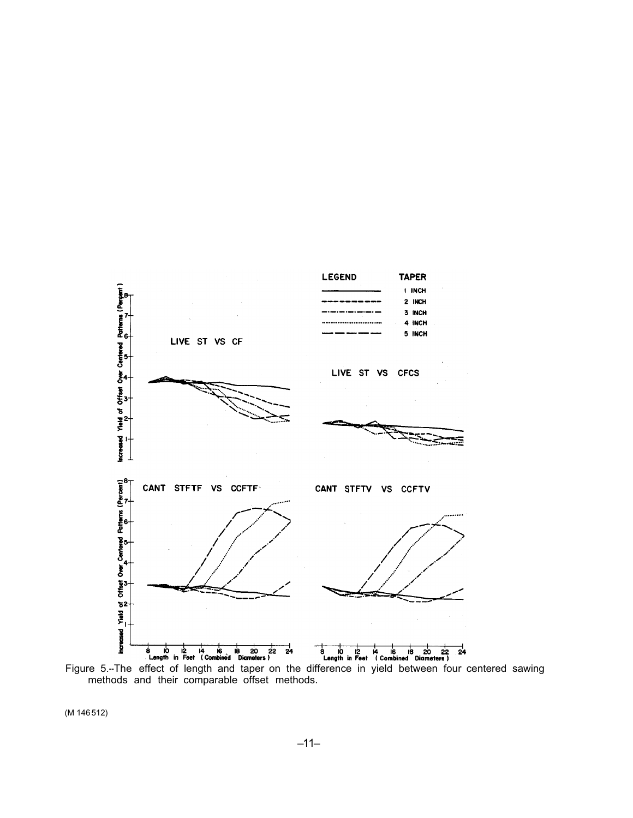

Figure 5.-The effect of length and taper on the difference in yield between four centered sawing methods and their comparable offset methods.

(M 146512)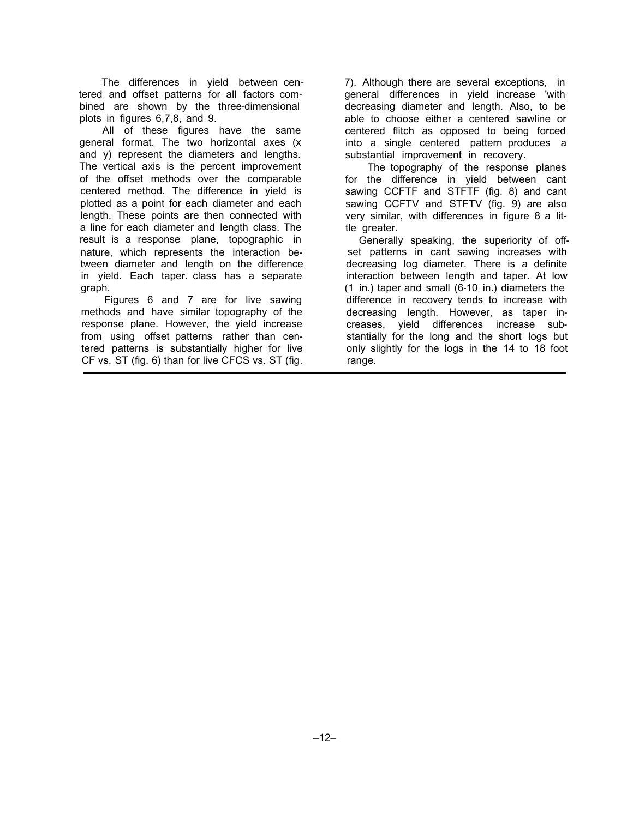The differences in yield between centered and offset patterns for all factors combined are shown by the three-dimensional plots in figures 6,7,8, and 9.

All of these figures have the same general format. The two horizontal axes (x and y) represent the diameters and lengths. The vertical axis is the percent improvement of the offset methods over the comparable centered method. The difference in yield is plotted as a point for each diameter and each length. These points are then connected with a line for each diameter and length class. The result is a response plane, topographic in nature, which represents the interaction between diameter and length on the difference in yield. Each taper. class has a separate graph.

Figures 6 and 7 are for live sawing methods and have similar topography of the response plane. However, the yield increase from using offset patterns rather than centered patterns is substantially higher for live CF vs. ST (fig. 6) than for live CFCS vs. ST (fig.

7). Although there are several exceptions, in general differences in yield increase 'with decreasing diameter and length. Also, to be able to choose either a centered sawline or centered flitch as opposed to being forced into a single centered pattern produces a substantial improvement in recovery.

The topography of the response planes for the difference in yield between cant sawing CCFTF and STFTF (fig. 8) and cant sawing CCFTV and STFTV (fig. 9) are also very similar, with differences in figure 8 a little greater.

Generally speaking, the superiority of offset patterns in cant sawing increases with decreasing log diameter. There is a definite interaction between length and taper. At low (1 in.) taper and small (6-10 in.) diameters the difference in recovery tends to increase with decreasing length. However, as taper increases, yield differences increase substantially for the long and the short logs but only slightly for the logs in the 14 to 18 foot range.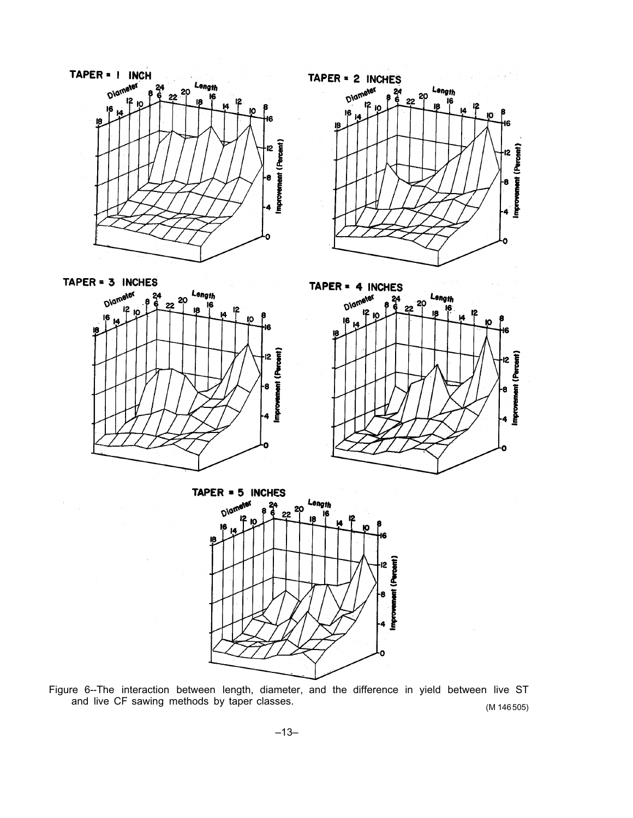



TAPER = 3 INCHES Diameter Length 20 22 ΙG 12 10 8 10 I2



TAPER  $= 5$  INCHES Length 20 Oiam 22 16 I<sub>2</sub> vent (Percent) I2

Figure 6--The interaction between length, diameter, and the difference in yield between live ST<br>and live CF sawing methods by taper classes.  $(M 146505)$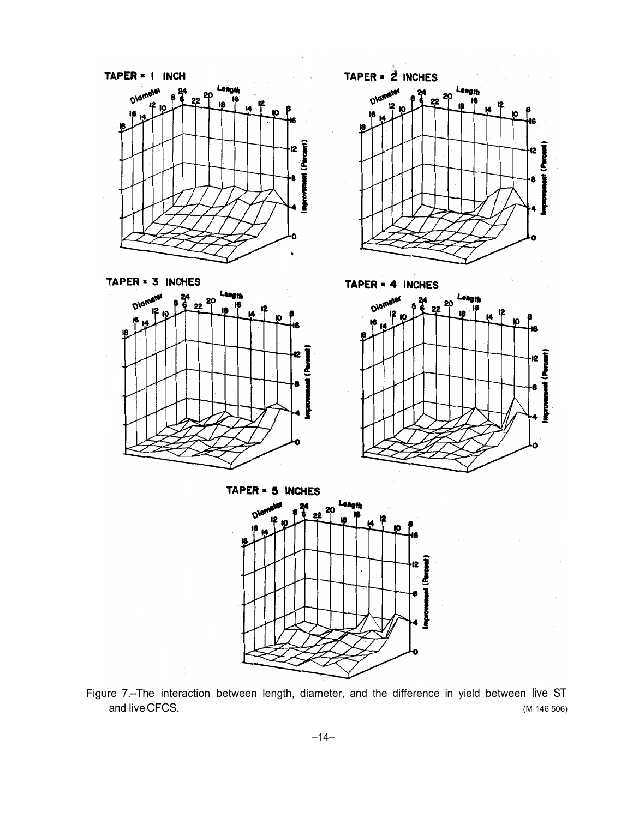





TAPER = 4 INCHES Ĕ

TAPER = 5 INCHES

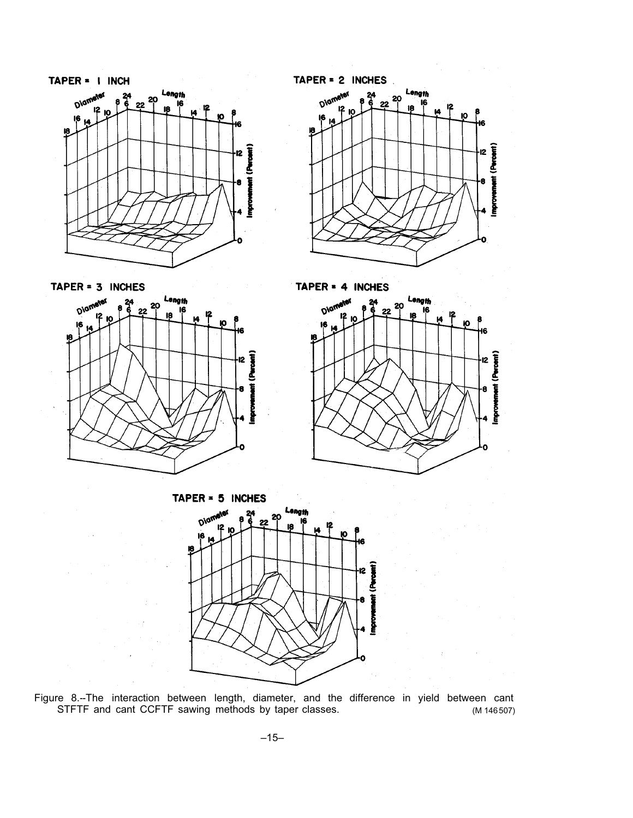

TAPER = 3 INCHES



TAPER =  $2$  INCHES



TAPER = 4 INCHES





Figure 8.--The interaction between length, diameter, and the difference in yield between cant<br>STFTF and cant CCFTF sawing methods by taper classes. (M 146507)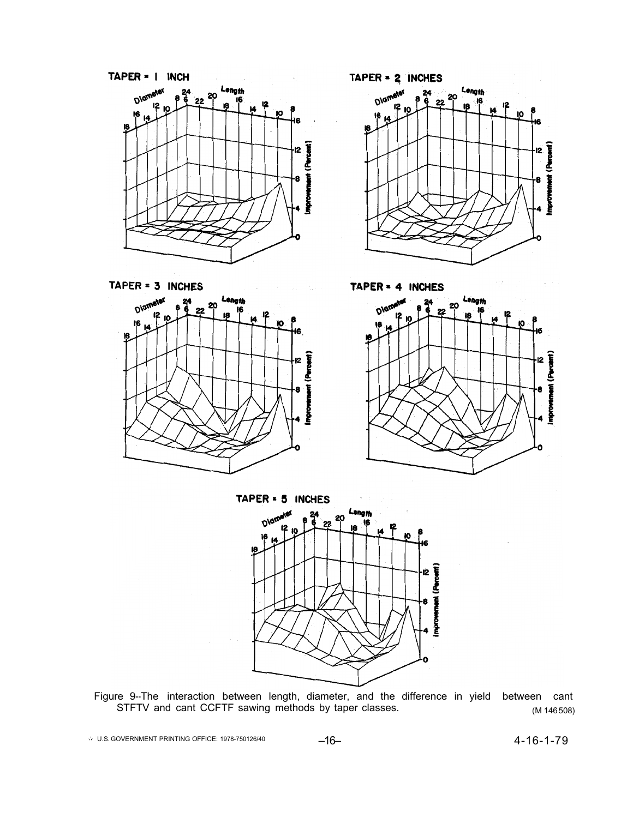

TAPER = 3 INCHES i2 TAPER = 2 INCHES Length 20

TAPER = 4 INCHES Length



Figure 9--The interaction between length, diameter, and the difference in yield between cant STFTV and cant CCFTF sawing methods by taper classes. The match of the same (M 146508)